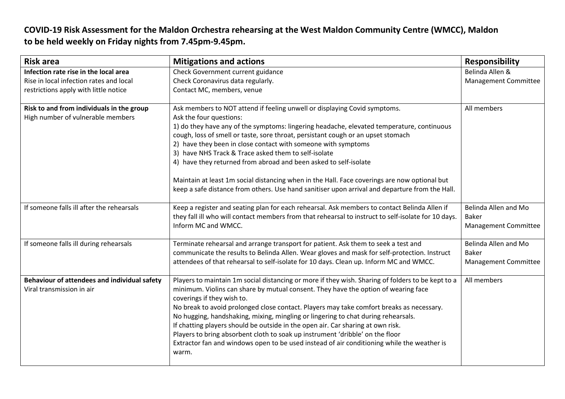## **COVID-19 Risk Assessment for the Maldon Orchestra rehearsing at the West Maldon Community Centre (WMCC), Maldon to be held weekly on Friday nights from 7.45pm-9.45pm.**

| <b>Risk area</b>                                                               | <b>Mitigations and actions</b>                                                                                                                                                                                                                                                                                                                                                                                                                                                                                                                                                                                                                                                    | <b>Responsibility</b>                                        |
|--------------------------------------------------------------------------------|-----------------------------------------------------------------------------------------------------------------------------------------------------------------------------------------------------------------------------------------------------------------------------------------------------------------------------------------------------------------------------------------------------------------------------------------------------------------------------------------------------------------------------------------------------------------------------------------------------------------------------------------------------------------------------------|--------------------------------------------------------------|
| Infection rate rise in the local area                                          | Check Government current guidance                                                                                                                                                                                                                                                                                                                                                                                                                                                                                                                                                                                                                                                 | Belinda Allen &                                              |
| Rise in local infection rates and local                                        | Check Coronavirus data regularly.                                                                                                                                                                                                                                                                                                                                                                                                                                                                                                                                                                                                                                                 | <b>Management Committee</b>                                  |
| restrictions apply with little notice                                          | Contact MC, members, venue                                                                                                                                                                                                                                                                                                                                                                                                                                                                                                                                                                                                                                                        |                                                              |
| Risk to and from individuals in the group<br>High number of vulnerable members | Ask members to NOT attend if feeling unwell or displaying Covid symptoms.<br>Ask the four questions:<br>1) do they have any of the symptoms: lingering headache, elevated temperature, continuous<br>cough, loss of smell or taste, sore throat, persistant cough or an upset stomach<br>2) have they been in close contact with someone with symptoms<br>3) have NHS Track & Trace asked them to self-isolate<br>4) have they returned from abroad and been asked to self-isolate                                                                                                                                                                                                | All members                                                  |
|                                                                                | Maintain at least 1m social distancing when in the Hall. Face coverings are now optional but<br>keep a safe distance from others. Use hand sanitiser upon arrival and departure from the Hall.                                                                                                                                                                                                                                                                                                                                                                                                                                                                                    |                                                              |
| If someone falls ill after the rehearsals                                      | Keep a register and seating plan for each rehearsal. Ask members to contact Belinda Allen if<br>they fall ill who will contact members from that rehearsal to instruct to self-isolate for 10 days.<br>Inform MC and WMCC.                                                                                                                                                                                                                                                                                                                                                                                                                                                        | Belinda Allen and Mo<br><b>Baker</b><br>Management Committee |
| If someone falls ill during rehearsals                                         | Terminate rehearsal and arrange transport for patient. Ask them to seek a test and<br>communicate the results to Belinda Allen. Wear gloves and mask for self-protection. Instruct<br>attendees of that rehearsal to self-isolate for 10 days. Clean up. Inform MC and WMCC.                                                                                                                                                                                                                                                                                                                                                                                                      | Belinda Allen and Mo<br>Baker<br>Management Committee        |
| Behaviour of attendees and individual safety<br>Viral transmission in air      | Players to maintain 1m social distancing or more if they wish. Sharing of folders to be kept to a<br>minimum. Violins can share by mutual consent. They have the option of wearing face<br>coverings if they wish to.<br>No break to avoid prolonged close contact. Players may take comfort breaks as necessary.<br>No hugging, handshaking, mixing, mingling or lingering to chat during rehearsals.<br>If chatting players should be outside in the open air. Car sharing at own risk.<br>Players to bring absorbent cloth to soak up instrument 'dribble' on the floor<br>Extractor fan and windows open to be used instead of air conditioning while the weather is<br>warm. | All members                                                  |